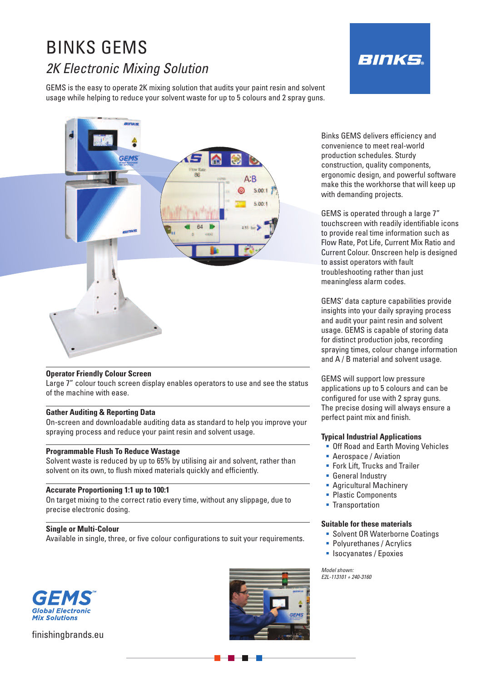# BINKS GEMS *2K Electronic Mixing Solution*

GEMS is the easy to operate 2K mixing solution that audits your paint resin and solvent usage while helping to reduce your solvent waste for up to 5 colours and 2 spray guns.





# **Operator Friendly Colour Screen**

Large 7" colour touch screen display enables operators to use and see the status of the machine with ease.

### **Gather Auditing & Reporting Data**

On-screen and downloadable auditing data as standard to help you improve your spraying process and reduce your paint resin and solvent usage.

### **Programmable Flush To Reduce Wastage**

Solvent waste is reduced by up to 65% by utilising air and solvent, rather than solvent on its own, to flush mixed materials quickly and efficiently.

### **Accurate Proportioning 1:1 up to 100:1**

On target mixing to the correct ratio every time, without any slippage, due to precise electronic dosing.

# **Single or Multi-Colour**

Available in single, three, or five colour configurations to suit your requirements.



finishingbrands.eu



Binks GEMS delivers efficiency and convenience to meet real-world production schedules. Sturdy construction, quality components, ergonomic design, and powerful software make this the workhorse that will keep up with demanding projects.

GEMS is operated through a large 7" touchscreen with readily identifiable icons to provide real time information such as Flow Rate, Pot Life, Current Mix Ratio and Current Colour. Onscreen help is designed to assist operators with fault troubleshooting rather than just meaningless alarm codes.

GEMS' data capture capabilities provide insights into your daily spraying process and audit your paint resin and solvent usage. GEMS is capable of storing data for distinct production jobs, recording spraying times, colour change information and A / B material and solvent usage.

GEMS will support low pressure applications up to 5 colours and can be configured for use with 2 spray guns. The precise dosing will always ensure a perfect paint mix and finish.

### **Typical Industrial Applications**

- **Off Road and Earth Moving Vehicles**
- **Aerospace / Aviation**
- **Fork Lift, Trucks and Trailer**
- **General Industry**
- **Agricultural Machinery**
- Plastic Components
- **Transportation**

#### **Suitable for these materials**

- **Solvent OR Waterborne Coatings**
- **Polyurethanes / Acrylics**
- **Exercise** / Epoxies

*Model shown: E2L-113101 + 240-3160*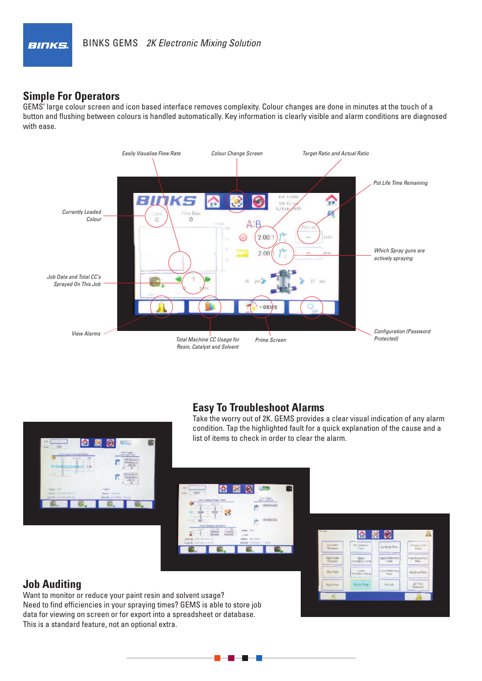

# **Simple For Operators**

GEMS' large colour screen and icon based interface removes complexity. Colour changes are done in minutes at the touch of a button and flushing between colours is handled automatically. Key information is clearly visible and alarm conditions are diagnosed with ease.



# **Easy To Troubleshoot Alarms**



Take the worry out of 2K. GEMS provides a clear visual indication of any alarm condition. Tap the highlighted fault for a quick explanation of the cause and a list of items to check in order to clear the alarm.

# **Job Auditing**

Want to monitor or reduce your paint resin and solvent usage? Need to find efficiencies in your spraying times? GEMS is able to store job data for viewing on screen or for export into a spreadsheet or database. This is a standard feature, not an optional extra.

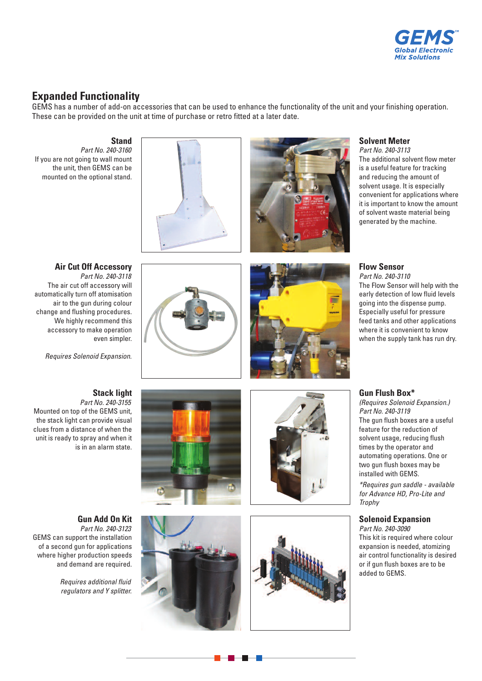

# **Expanded Functionality**

GEMS has a number of add-on accessories that can be used to enhance the functionality of the unit and your finishing operation. These can be provided on the unit at time of purchase or retro fitted at a later date.

# **Stand**

*Part No. 240-3160* If you are not going to wall mount the unit, then GEMS can be mounted on the optional stand.





# **Solvent Meter**

*Part No. 240-3113* The additional solvent flow meter is a useful feature for tracking and reducing the amount of solvent usage. It is especially convenient for applications where it is important to know the amount of solvent waste material being generated by the machine.

**Air Cut Off Accessory** *Part No. 240-3118* The air cut off accessory will automatically turn off atomisation air to the gun during colour change and flushing procedures. We highly recommend this accessory to make operation even simpler.

*Requires Solenoid Expansion.*

# **Stack light**

Mounted on top of the GEMS unit, the stack light can provide visual clues from a distance of when the unit is ready to spray and when it is in an alarm state.

# *Part No. 240-3155*





# **Flow Sensor** *Part No. 240-3110*

The Flow Sensor will help with the early detection of low fluid levels going into the dispense pump. Especially useful for pressure feed tanks and other applications where it is convenient to know when the supply tank has run dry.

# **Gun Flush Box\***

*(Requires Solenoid Expansion.) Part No. 240-3119* The gun flush boxes are a useful feature for the reduction of solvent usage, reducing flush times by the operator and automating operations. One or two gun flush boxes may be installed with GEMS.

*\*Requires gun saddle - available for Advance HD, Pro-Lite and Trophy*

# **Solenoid Expansion**

*Part No. 240-3090* This kit is required where colour expansion is needed, atomizing air control functionality is desired or if gun flush boxes are to be added to GEMS.



*Part No. 240-3123* GEMS can support the installation of a second gun for applications where higher production speeds and demand are required.

> *Requires additional fluid regulators and Y splitter.*